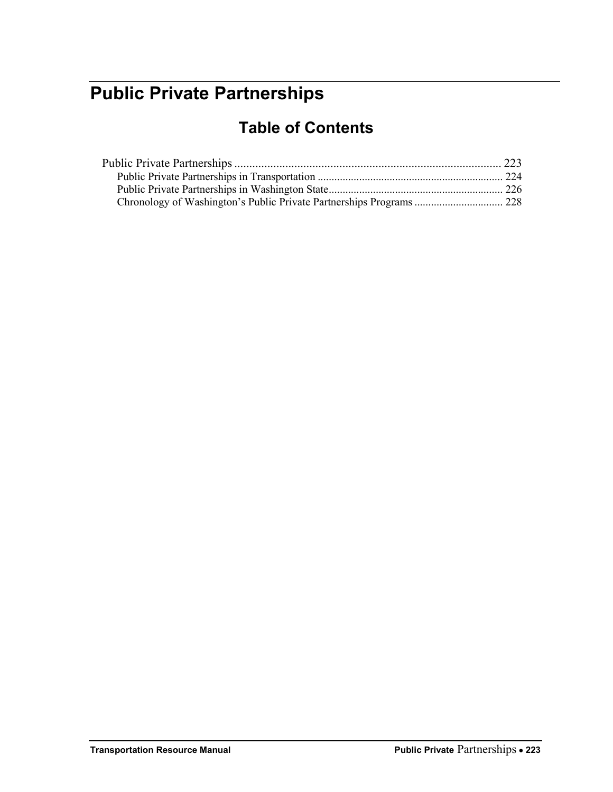# <span id="page-0-0"></span>**Public Private Partnerships**

## **Table of Contents**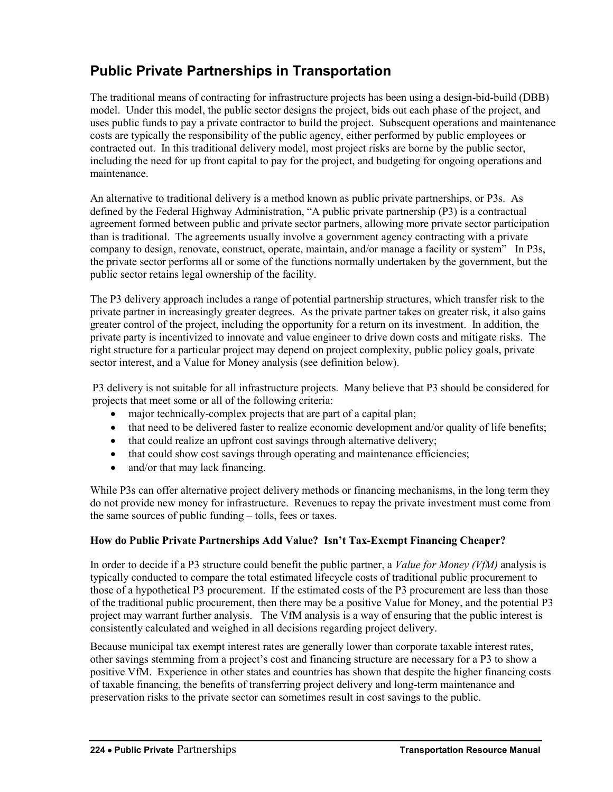### <span id="page-1-0"></span>**Public Private Partnerships in Transportation**

The traditional means of contracting for infrastructure projects has been using a design-bid-build (DBB) model. Under this model, the public sector designs the project, bids out each phase of the project, and uses public funds to pay a private contractor to build the project. Subsequent operations and maintenance costs are typically the responsibility of the public agency, either performed by public employees or contracted out. In this traditional delivery model, most project risks are borne by the public sector, including the need for up front capital to pay for the project, and budgeting for ongoing operations and maintenance.

An alternative to traditional delivery is a method known as public private partnerships, or P3s. As defined by the Federal Highway Administration, "A public private partnership (P3) is a contractual agreement formed between public and private sector partners, allowing more private sector participation than is traditional. The agreements usually involve a government agency contracting with a private company to design, renovate, construct, operate, maintain, and/or manage a facility or system" In P3s, the private sector performs all or some of the functions normally undertaken by the government, but the public sector retains legal ownership of the facility.

The P3 delivery approach includes a range of potential partnership structures, which transfer risk to the private partner in increasingly greater degrees. As the private partner takes on greater risk, it also gains greater control of the project, including the opportunity for a return on its investment. In addition, the private party is incentivized to innovate and value engineer to drive down costs and mitigate risks. The right structure for a particular project may depend on project complexity, public policy goals, private sector interest, and a Value for Money analysis (see definition below).

P3 delivery is not suitable for all infrastructure projects. Many believe that P3 should be considered for projects that meet some or all of the following criteria:

- major technically-complex projects that are part of a capital plan;
- that need to be delivered faster to realize economic development and/or quality of life benefits;
- that could realize an upfront cost savings through alternative delivery;
- that could show cost savings through operating and maintenance efficiencies;
- and/or that may lack financing.

While P3s can offer alternative project delivery methods or financing mechanisms, in the long term they do not provide new money for infrastructure. Revenues to repay the private investment must come from the same sources of public funding – tolls, fees or taxes.

### **How do Public Private Partnerships Add Value? Isn't Tax-Exempt Financing Cheaper?**

In order to decide if a P3 structure could benefit the public partner, a *Value for Money (VfM)* analysis is typically conducted to compare the total estimated lifecycle costs of traditional public procurement to those of a hypothetical P3 procurement. If the estimated costs of the P3 procurement are less than those of the traditional public procurement, then there may be a positive Value for Money, and the potential P3 project may warrant further analysis. The VfM analysis is a way of ensuring that the public interest is consistently calculated and weighed in all decisions regarding project delivery.

Because municipal tax exempt interest rates are generally lower than corporate taxable interest rates, other savings stemming from a project's cost and financing structure are necessary for a P3 to show a positive VfM. Experience in other states and countries has shown that despite the higher financing costs of taxable financing, the benefits of transferring project delivery and long-term maintenance and preservation risks to the private sector can sometimes result in cost savings to the public.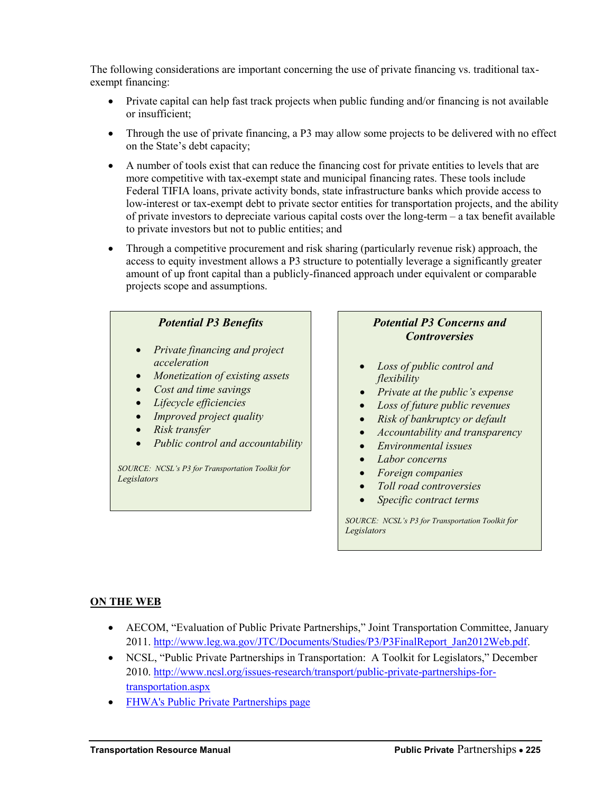The following considerations are important concerning the use of private financing vs. traditional taxexempt financing:

- Private capital can help fast track projects when public funding and/or financing is not available or insufficient;
- Through the use of private financing, a P3 may allow some projects to be delivered with no effect on the State's debt capacity;
- A number of tools exist that can reduce the financing cost for private entities to levels that are more competitive with tax-exempt state and municipal financing rates. These tools include Federal TIFIA loans, private activity bonds, state infrastructure banks which provide access to low-interest or tax-exempt debt to private sector entities for transportation projects, and the ability of private investors to depreciate various capital costs over the long-term – a tax benefit available to private investors but not to public entities; and
- Through a competitive procurement and risk sharing (particularly revenue risk) approach, the access to equity investment allows a P3 structure to potentially leverage a significantly greater amount of up front capital than a publicly-financed approach under equivalent or comparable projects scope and assumptions.



### *Potential P3 Concerns and Controversies*

- *Loss of public control and flexibility*
- *Private at the public's expense*
- *Loss of future public revenues*
- *Risk of bankruptcy or default*
- *Accountability and transparency*
- *Environmental issues*
- *Labor concerns*
- *Foreign companies*
- *Toll road controversies*
- *Specific contract terms*

*SOURCE: NCSL's P3 for Transportation Toolkit for Legislators*

#### **ON THE WEB**

- AECOM, "Evaluation of Public Private Partnerships," Joint Transportation Committee, January 2011. [http://www.leg.wa.gov/JTC/Documents/Studies/P3/P3FinalReport\\_Jan2012Web.pdf.](http://www.leg.wa.gov/JTC/Documents/Studies/P3/P3FinalReport_Jan2012Web.pdf)
- NCSL, "Public Private Partnerships in Transportation: A Toolkit for Legislators," December 2010. [http://www.ncsl.org/issues-research/transport/public-private-partnerships-for](http://www.ncsl.org/issues-research/transport/public-private-partnerships-for-transportation.aspx)[transportation.aspx](http://www.ncsl.org/issues-research/transport/public-private-partnerships-for-transportation.aspx)
- [FHWA's Public Private Partnerships page](http://www.fhwa.dot.gov/ipd/p3/default.aspx)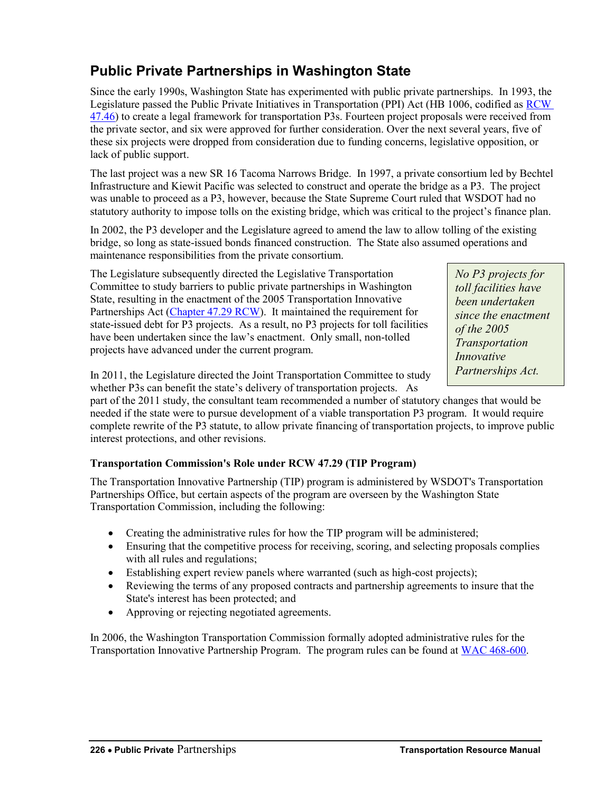### <span id="page-3-0"></span>**Public Private Partnerships in Washington State**

Since the early 1990s, Washington State has experimented with public private partnerships. In 1993, the Legislature passed the Public Private Initiatives in Transportation (PPI) Act (HB 1006, codified as [RCW](http://app.leg.wa.gov/rcw/default.aspx?cite=47.46)  [47.46\)](http://app.leg.wa.gov/rcw/default.aspx?cite=47.46) to create a legal framework for transportation P3s. Fourteen project proposals were received from the private sector, and six were approved for further consideration. Over the next several years, five of these six projects were dropped from consideration due to funding concerns, legislative opposition, or lack of public support.

The last project was a new SR 16 Tacoma Narrows Bridge. In 1997, a private consortium led by Bechtel Infrastructure and Kiewit Pacific was selected to construct and operate the bridge as a P3. The project was unable to proceed as a P3, however, because the State Supreme Court ruled that WSDOT had no statutory authority to impose tolls on the existing bridge, which was critical to the project's finance plan.

In 2002, the P3 developer and the Legislature agreed to amend the law to allow tolling of the existing bridge, so long as state-issued bonds financed construction. The State also assumed operations and maintenance responsibilities from the private consortium.

The Legislature subsequently directed the Legislative Transportation Committee to study barriers to public private partnerships in Washington State, resulting in the enactment of the 2005 Transportation Innovative Partnerships Act [\(Chapter 47.29 RCW\)](http://app.leg.wa.gov/rcw/default.aspx?cite=47.29). It maintained the requirement for state-issued debt for P3 projects. As a result, no P3 projects for toll facilities have been undertaken since the law's enactment. Only small, non-tolled projects have advanced under the current program.

*No P3 projects for toll facilities have been undertaken since the enactment of the 2005 Transportation Innovative Partnerships Act.* 

In 2011, the Legislature directed the Joint Transportation Committee to study whether P3s can benefit the state's delivery of transportation projects. As

part of the 2011 study, the consultant team recommended a number of statutory changes that would be needed if the state were to pursue development of a viable transportation P3 program. It would require complete rewrite of the P3 statute, to allow private financing of transportation projects, to improve public interest protections, and other revisions.

### **Transportation Commission's Role under RCW 47.29 (TIP Program)**

The Transportation Innovative Partnership (TIP) program is administered by WSDOT's Transportation Partnerships Office, but certain aspects of the program are overseen by the Washington State Transportation Commission, including the following:

- Creating the administrative rules for how the TIP program will be administered;
- Ensuring that the competitive process for receiving, scoring, and selecting proposals complies with all rules and regulations;
- Establishing expert review panels where warranted (such as high-cost projects);
- Reviewing the terms of any proposed contracts and partnership agreements to insure that the State's interest has been protected; and
- Approving or rejecting negotiated agreements.

In 2006, the Washington Transportation Commission formally adopted administrative rules for the Transportation Innovative Partnership Program. The program rules can be found at [WAC 468-600.](http://app.leg.wa.gov/wac/default.aspx?cite=468-600)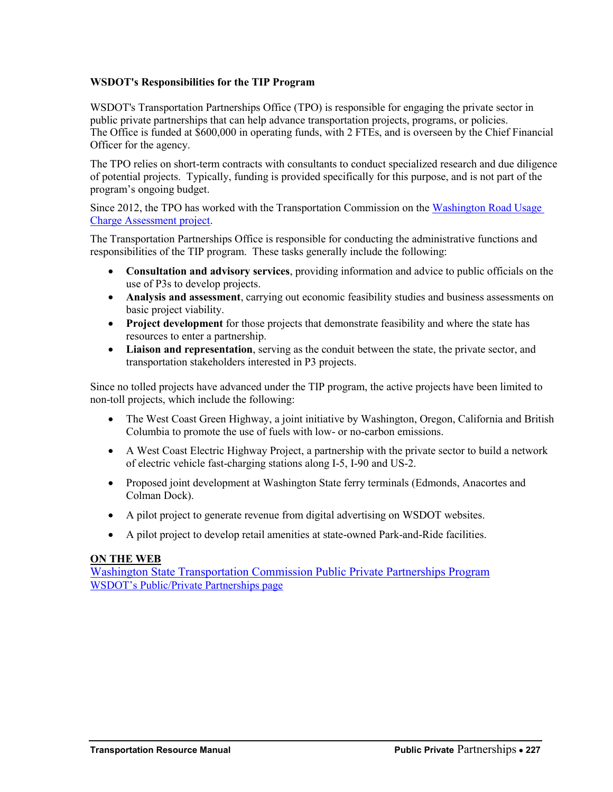#### **WSDOT's Responsibilities for the TIP Program**

WSDOT's Transportation Partnerships Office (TPO) is responsible for engaging the private sector in public private partnerships that can help advance transportation projects, programs, or policies. The Office is funded at \$600,000 in operating funds, with 2 FTEs, and is overseen by the Chief Financial Officer for the agency.

The TPO relies on short-term contracts with consultants to conduct specialized research and due diligence of potential projects. Typically, funding is provided specifically for this purpose, and is not part of the program's ongoing budget.

Since 2012, the TPO has worked with the Transportation Commission on the [Washington Road Usage](http://waroadusagecharge.wordpress.com/)  [Charge Assessment project.](http://waroadusagecharge.wordpress.com/)

The Transportation Partnerships Office is responsible for conducting the administrative functions and responsibilities of the TIP program. These tasks generally include the following:

- **Consultation and advisory services**, providing information and advice to public officials on the use of P3s to develop projects.
- **Analysis and assessment**, carrying out economic feasibility studies and business assessments on basic project viability.
- **Project development** for those projects that demonstrate feasibility and where the state has resources to enter a partnership.
- **Liaison and representation**, serving as the conduit between the state, the private sector, and transportation stakeholders interested in P3 projects.

Since no tolled projects have advanced under the TIP program, the active projects have been limited to non-toll projects, which include the following:

- The West Coast Green Highway, a joint initiative by Washington, Oregon, California and British Columbia to promote the use of fuels with low- or no-carbon emissions.
- A West Coast Electric Highway Project, a partnership with the private sector to build a network of electric vehicle fast-charging stations along I-5, I-90 and US-2.
- Proposed joint development at Washington State ferry terminals (Edmonds, Anacortes and Colman Dock).
- A pilot project to generate revenue from digital advertising on WSDOT websites.
- A pilot project to develop retail amenities at state-owned Park-and-Ride facilities.

#### **ON THE WEB**

[Washington State Transportation Commission Public Private Partnerships Program](http://wstc.wa.gov/StudiesSurveys/Non-TollingPublicPrivatePartnerships.htm) [WSDOT's Public/Private Partnerships page](http://www.wsdot.wa.gov/Funding/Partners/Default.htm)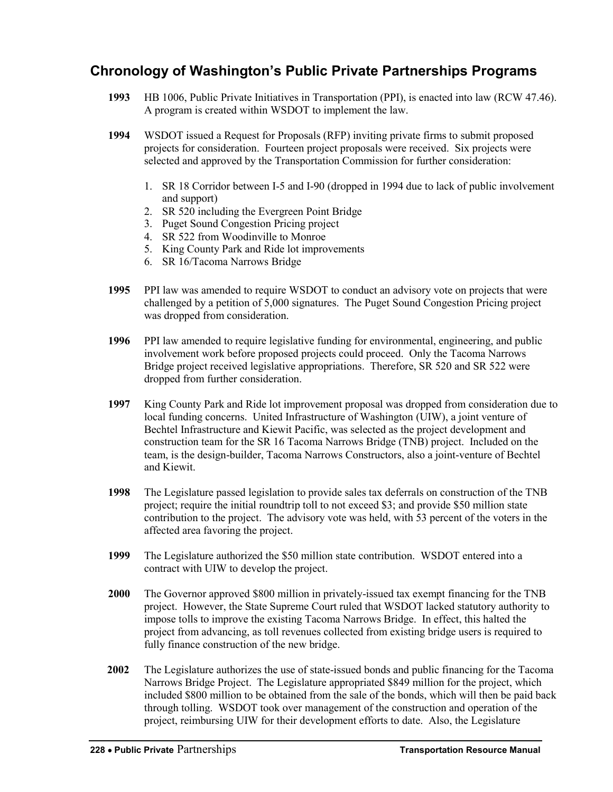### <span id="page-5-0"></span>**Chronology of Washington's Public Private Partnerships Programs**

- **1993** HB 1006, Public Private Initiatives in Transportation (PPI), is enacted into law (RCW 47.46). A program is created within WSDOT to implement the law.
- **1994** WSDOT issued a Request for Proposals (RFP) inviting private firms to submit proposed projects for consideration. Fourteen project proposals were received. Six projects were selected and approved by the Transportation Commission for further consideration:
	- 1. SR 18 Corridor between I-5 and I-90 (dropped in 1994 due to lack of public involvement and support)
	- 2. SR 520 including the Evergreen Point Bridge
	- 3. Puget Sound Congestion Pricing project
	- 4. SR 522 from Woodinville to Monroe
	- 5. King County Park and Ride lot improvements
	- 6. SR 16/Tacoma Narrows Bridge
- **1995** PPI law was amended to require WSDOT to conduct an advisory vote on projects that were challenged by a petition of 5,000 signatures. The Puget Sound Congestion Pricing project was dropped from consideration.
- **1996** PPI law amended to require legislative funding for environmental, engineering, and public involvement work before proposed projects could proceed. Only the Tacoma Narrows Bridge project received legislative appropriations. Therefore, SR 520 and SR 522 were dropped from further consideration.
- **1997** King County Park and Ride lot improvement proposal was dropped from consideration due to local funding concerns. United Infrastructure of Washington (UIW), a joint venture of Bechtel Infrastructure and Kiewit Pacific, was selected as the project development and construction team for the SR 16 Tacoma Narrows Bridge (TNB) project. Included on the team, is the design-builder, Tacoma Narrows Constructors, also a joint-venture of Bechtel and Kiewit.
- **1998** The Legislature passed legislation to provide sales tax deferrals on construction of the TNB project; require the initial roundtrip toll to not exceed \$3; and provide \$50 million state contribution to the project. The advisory vote was held, with 53 percent of the voters in the affected area favoring the project.
- **1999** The Legislature authorized the \$50 million state contribution. WSDOT entered into a contract with UIW to develop the project.
- **2000** The Governor approved \$800 million in privately-issued tax exempt financing for the TNB project. However, the State Supreme Court ruled that WSDOT lacked statutory authority to impose tolls to improve the existing Tacoma Narrows Bridge. In effect, this halted the project from advancing, as toll revenues collected from existing bridge users is required to fully finance construction of the new bridge.
- **2002** The Legislature authorizes the use of state-issued bonds and public financing for the Tacoma Narrows Bridge Project. The Legislature appropriated \$849 million for the project, which included \$800 million to be obtained from the sale of the bonds, which will then be paid back through tolling. WSDOT took over management of the construction and operation of the project, reimbursing UIW for their development efforts to date. Also, the Legislature